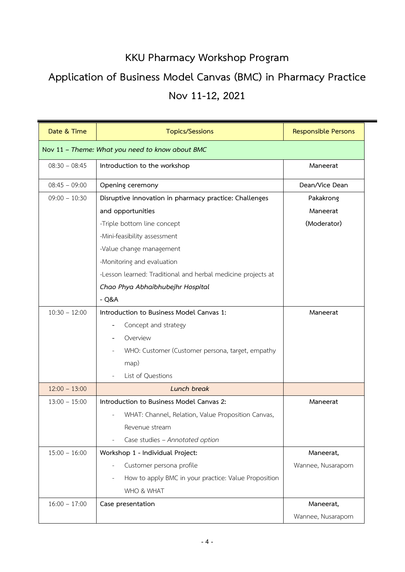## **KKU Pharmacy Workshop Program**

## **Application of Business Model Canvas (BMC) in Pharmacy Practice Nov 11-12, 2021**

| Date & Time                                     | <b>Topics/Sessions</b>                                       | <b>Responsible Persons</b> |  |
|-------------------------------------------------|--------------------------------------------------------------|----------------------------|--|
| Nov 11 - Theme: What you need to know about BMC |                                                              |                            |  |
| $08:30 - 08:45$                                 | Introduction to the workshop                                 | Maneerat                   |  |
| $08:45 - 09:00$                                 | Opening ceremony                                             | Dean/Vice Dean             |  |
| $09:00 - 10:30$                                 | Disruptive innovation in pharmacy practice: Challenges       | Pakakrong                  |  |
|                                                 | and opportunities                                            | Maneerat                   |  |
|                                                 | -Triple bottom line concept                                  | (Moderator)                |  |
|                                                 | -Mini-feasibility assessment                                 |                            |  |
|                                                 | -Value change management                                     |                            |  |
|                                                 | -Monitoring and evaluation                                   |                            |  |
|                                                 | -Lesson learned: Traditional and herbal medicine projects at |                            |  |
|                                                 | Chao Phya Abhaibhubejhr Hospital                             |                            |  |
|                                                 | $-Q&A$                                                       |                            |  |
| $10:30 - 12:00$                                 | Introduction to Business Model Canvas 1:                     | Maneerat                   |  |
|                                                 | Concept and strategy                                         |                            |  |
|                                                 | Overview                                                     |                            |  |
|                                                 | WHO: Customer (Customer persona, target, empathy             |                            |  |
|                                                 | map)                                                         |                            |  |
|                                                 | List of Questions                                            |                            |  |
| $12:00 - 13:00$                                 | Lunch break                                                  |                            |  |
| $13:00 - 15:00$                                 | Introduction to Business Model Canvas 2:                     | Maneerat                   |  |
|                                                 | WHAT: Channel, Relation, Value Proposition Canvas,           |                            |  |
|                                                 | Revenue stream                                               |                            |  |
|                                                 | Case studies - Annotated option                              |                            |  |
| $15:00 - 16:00$                                 | Workshop 1 - Individual Project:                             | Maneerat,                  |  |
|                                                 | Customer persona profile                                     | Wannee, Nusaraporn         |  |
|                                                 | How to apply BMC in your practice: Value Proposition         |                            |  |
|                                                 | WHO & WHAT                                                   |                            |  |
| $16:00 - 17:00$                                 | Case presentation                                            | Maneerat,                  |  |
|                                                 |                                                              | Wannee, Nusaraporn         |  |